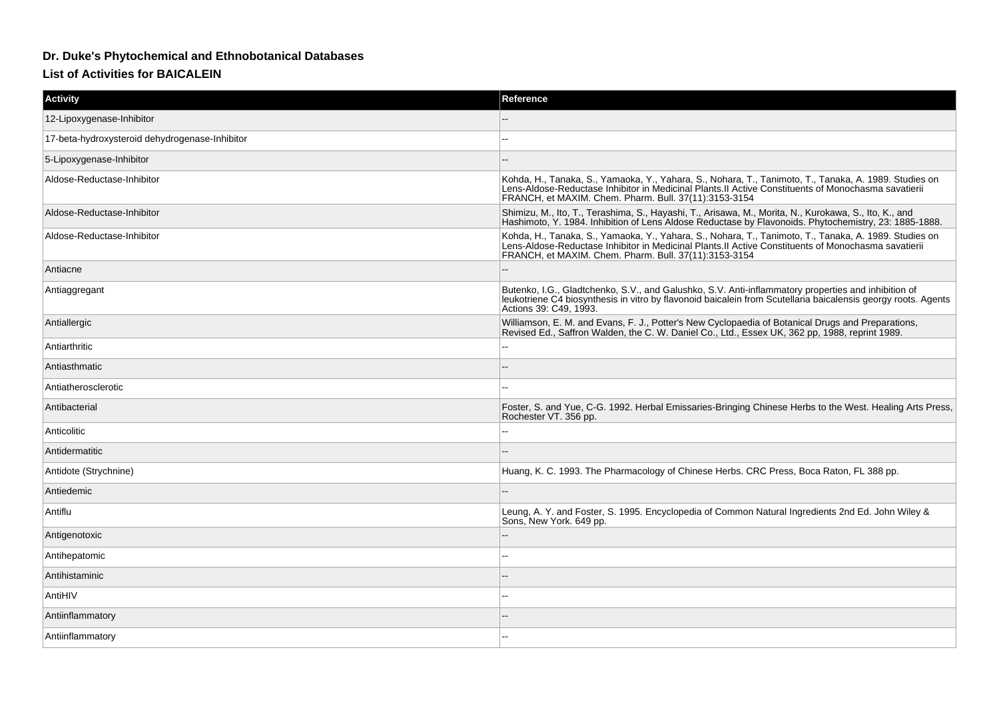## **Dr. Duke's Phytochemical and Ethnobotanical Databases**

**List of Activities for BAICALEIN**

| Activity                                       | Reference                                                                                                                                                                                                                                                             |
|------------------------------------------------|-----------------------------------------------------------------------------------------------------------------------------------------------------------------------------------------------------------------------------------------------------------------------|
| 12-Lipoxygenase-Inhibitor                      |                                                                                                                                                                                                                                                                       |
| 17-beta-hydroxysteroid dehydrogenase-Inhibitor |                                                                                                                                                                                                                                                                       |
| 5-Lipoxygenase-Inhibitor                       |                                                                                                                                                                                                                                                                       |
| Aldose-Reductase-Inhibitor                     | Kohda, H., Tanaka, S., Yamaoka, Y., Yahara, S., Nohara, T., Tanimoto, T., Tanaka, A. 1989. Studies on<br>Lens-Aldose-Reductase Inhibitor in Medicinal Plants.II Active Constituents of Monochasma savatierii<br>FRANCH, et MAXIM. Chem. Pharm. Bull. 37(11):3153-3154 |
| Aldose-Reductase-Inhibitor                     | Shimizu, M., Ito, T., Terashima, S., Hayashi, T., Arisawa, M., Morita, N., Kurokawa, S., Ito, K., and<br>Hashimoto, Y. 1984, Inhibition of Lens Aldose Reductase by Flavonoids, Phytochemistry, 23: 1885-1888.                                                        |
| Aldose-Reductase-Inhibitor                     | Kohda, H., Tanaka, S., Yamaoka, Y., Yahara, S., Nohara, T., Tanimoto, T., Tanaka, A. 1989. Studies on<br>Lens-Aldose-Reductase Inhibitor in Medicinal Plants.II Active Constituents of Monochasma savatierii<br>FRANCH, et MAXIM. Chem. Pharm. Bull. 37(11):3153-3154 |
| Antiacne                                       |                                                                                                                                                                                                                                                                       |
| Antiaggregant                                  | Butenko, I.G., Gladtchenko, S.V., and Galushko, S.V. Anti-inflammatory properties and inhibition of<br>leukotriene C4 biosynthesis in vitro by flavonoid baicalein from Scutellaria baicalensis georgy roots. Agents<br>Actions 39: C49, 1993.                        |
| Antiallergic                                   | Williamson, E. M. and Evans, F. J., Potter's New Cyclopaedia of Botanical Drugs and Preparations,<br>Revised Ed., Saffron Walden, the C. W. Daniel Co., Ltd., Essex UK, 362 pp, 1988, reprint 1989.                                                                   |
| Antiarthritic                                  |                                                                                                                                                                                                                                                                       |
| Antiasthmatic                                  |                                                                                                                                                                                                                                                                       |
| Antiatherosclerotic                            |                                                                                                                                                                                                                                                                       |
| Antibacterial                                  | Foster, S. and Yue, C-G. 1992. Herbal Emissaries-Bringing Chinese Herbs to the West. Healing Arts Press,<br>Rochester VT. 356 pp.                                                                                                                                     |
| Anticolitic                                    |                                                                                                                                                                                                                                                                       |
| Antidermatitic                                 |                                                                                                                                                                                                                                                                       |
| Antidote (Strychnine)                          | Huang, K. C. 1993. The Pharmacology of Chinese Herbs. CRC Press, Boca Raton, FL 388 pp.                                                                                                                                                                               |
| Antiedemic                                     |                                                                                                                                                                                                                                                                       |
| Antiflu                                        | Leung, A. Y. and Foster, S. 1995. Encyclopedia of Common Natural Ingredients 2nd Ed. John Wiley &<br>Sons, New York. 649 pp.                                                                                                                                          |
| Antigenotoxic                                  |                                                                                                                                                                                                                                                                       |
| Antihepatomic                                  |                                                                                                                                                                                                                                                                       |
| Antihistaminic                                 |                                                                                                                                                                                                                                                                       |
| AntiHIV                                        |                                                                                                                                                                                                                                                                       |
| Antiinflammatory                               |                                                                                                                                                                                                                                                                       |
| Antiinflammatory                               |                                                                                                                                                                                                                                                                       |